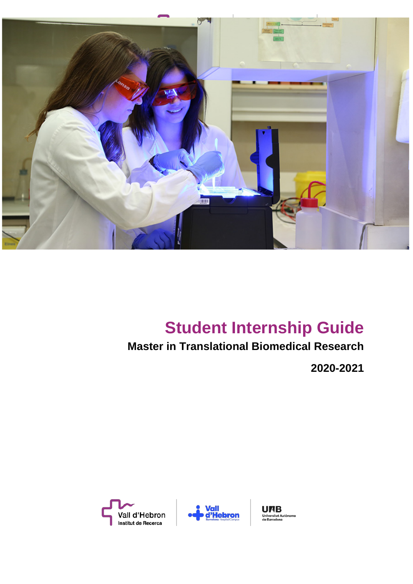

# **Student Internship Guide**

## **Master in Translational Biomedical Research**

**2020-2021**





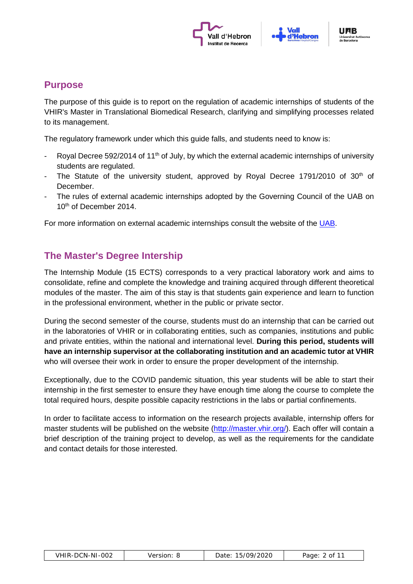



### **Purpose**

The purpose of this guide is to report on the regulation of academic internships of students of the VHIR's Master in Translational Biomedical Research, clarifying and simplifying processes related to its management.

The regulatory framework under which this guide falls, and students need to know is:

- Royal Decree 592/2014 of 11<sup>th</sup> of July, by which the external academic internships of university students are regulated.
- The Statute of the university student, approved by Royal Decree 1791/2010 of  $30<sup>th</sup>$  of December.
- The rules of external academic internships adopted by the Governing Council of the UAB on 10<sup>th</sup> of December 2014.

For more information on external academic internships consult the website of the [UAB.](http://www.uab.cat/web/estudiar/grau/informacio-academica/practiques-externes-1345662180331.html)

## **The Master's Degree Intership**

The Internship Module (15 ECTS) corresponds to a very practical laboratory work and aims to consolidate, refine and complete the knowledge and training acquired through different theoretical modules of the master. The aim of this stay is that students gain experience and learn to function in the professional environment, whether in the public or private sector.

During the second semester of the course, students must do an internship that can be carried out in the laboratories of VHIR or in collaborating entities, such as companies, institutions and public and private entities, within the national and international level. **During this period, students will have an internship supervisor at the collaborating institution and an academic tutor at VHIR**  who will oversee their work in order to ensure the proper development of the internship.

Exceptionally, due to the COVID pandemic situation, this year students will be able to start their internship in the first semester to ensure they have enough time along the course to complete the total required hours, despite possible capacity restrictions in the labs or partial confinements.

In order to facilitate access to information on the research projects available, internship offers for master students will be published on the website [\(http://master.vhir.org/\)](http://master.vhir.org/). Each offer will contain a brief description of the training project to develop, as well as the requirements for the candidate and contact details for those interested.

| VHIR-DCN-NI-002 | Version: | Date: 15/09/2020 | . 2 of 11<br>Page: |
|-----------------|----------|------------------|--------------------|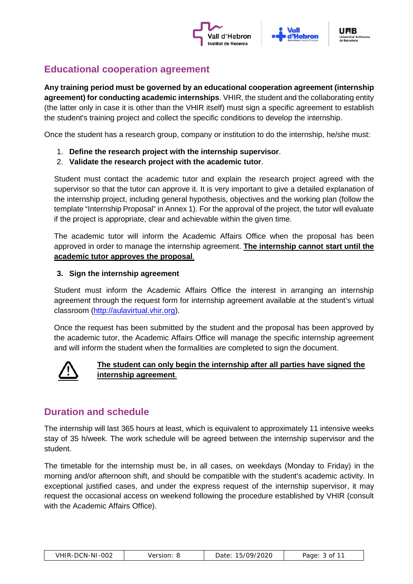



## **Educational cooperation agreement**

**Any training period must be governed by an educational cooperation agreement (internship agreement) for conducting academic internships**. VHIR, the student and the collaborating entity (the latter only in case it is other than the VHIR itself) must sign a specific agreement to establish the student's training project and collect the specific conditions to develop the internship.

Once the student has a research group, company or institution to do the internship, he/she must:

- 1. **Define the research project with the internship supervisor**.
- 2. **Validate the research project with the academic tutor**.

Student must contact the academic tutor and explain the research project agreed with the supervisor so that the tutor can approve it. It is very important to give a detailed explanation of the internship project, including general hypothesis, objectives and the working plan (follow the template "Internship Proposal" in Annex 1). For the approval of the project, the tutor will evaluate if the project is appropriate, clear and achievable within the given time.

The academic tutor will inform the Academic Affairs Office when the proposal has been approved in order to manage the internship agreement. **The internship cannot start until the academic tutor approves the proposal**.

#### **3. Sign the internship agreement**

Student must inform the Academic Affairs Office the interest in arranging an internship agreement through the request form for internship agreement available at the student's virtual classroom [\(http://aulavirtual.vhir.org\)](http://aulavirtual.vhir.org/).

Once the request has been submitted by the student and the proposal has been approved by the academic tutor, the Academic Affairs Office will manage the specific internship agreement and will inform the student when the formalities are completed to sign the document.



#### **The student can only begin the internship after all parties have signed the internship agreement**.

## **Duration and schedule**

The internship will last 365 hours at least, which is equivalent to approximately 11 intensive weeks stay of 35 h/week. The work schedule will be agreed between the internship supervisor and the student.

The timetable for the internship must be, in all cases, on weekdays (Monday to Friday) in the morning and/or afternoon shift, and should be compatible with the student's academic activity. In exceptional justified cases, and under the express request of the internship supervisor, it may request the occasional access on weekend following the procedure established by VHIR (consult with the Academic Affairs Office).

| VHIR-DCN-NI-002 |  |
|-----------------|--|
|-----------------|--|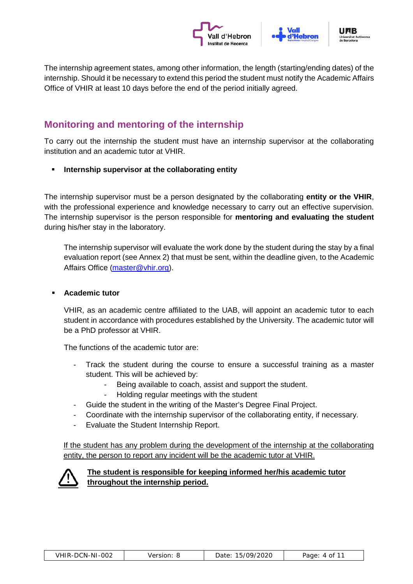



The internship agreement states, among other information, the length (starting/ending dates) of the internship. Should it be necessary to extend this period the student must notify the Academic Affairs Office of VHIR at least 10 days before the end of the period initially agreed.

## **Monitoring and mentoring of the internship**

To carry out the internship the student must have an internship supervisor at the collaborating institution and an academic tutor at VHIR.

**Internship supervisor at the collaborating entity**

The internship supervisor must be a person designated by the collaborating **entity or the VHIR**, with the professional experience and knowledge necessary to carry out an effective supervision. The internship supervisor is the person responsible for **mentoring and evaluating the student** during his/her stay in the laboratory.

The internship supervisor will evaluate the work done by the student during the stay by a final evaluation report (see Annex 2) that must be sent, within the deadline given, to the Academic Affairs Office [\(master@vhir.org\)](mailto:master@vhir.org).

#### **Academic tutor**

VHIR, as an academic centre affiliated to the UAB, will appoint an academic tutor to each student in accordance with procedures established by the University. The academic tutor will be a PhD professor at VHIR.

The functions of the academic tutor are:

- Track the student during the course to ensure a successful training as a master student. This will be achieved by:
	- Being available to coach, assist and support the student.
	- Holding regular meetings with the student
- Guide the student in the writing of the Master's Degree Final Project.
- Coordinate with the internship supervisor of the collaborating entity, if necessary.
- Evaluate the Student Internship Report.

If the student has any problem during the development of the internship at the collaborating entity, the person to report any incident will be the academic tutor at VHIR.



#### **The student is responsible for keeping informed her/his academic tutor throughout the internship period.**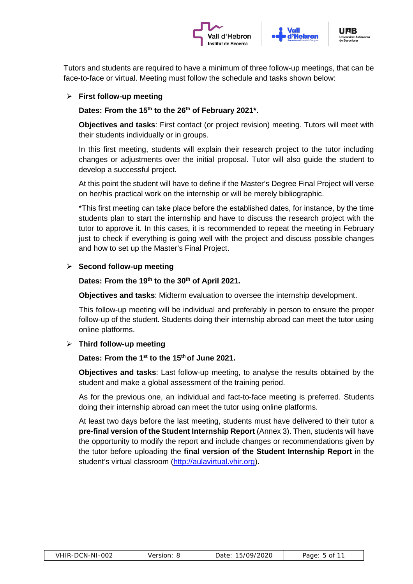



Tutors and students are required to have a minimum of three follow-up meetings, that can be face-to-face or virtual. Meeting must follow the schedule and tasks shown below:

#### **First follow-up meeting**

#### Dates: From the 15<sup>th</sup> to the 26<sup>th</sup> of February 2021<sup>\*</sup>.

**Objectives and tasks**: First contact (or project revision) meeting. Tutors will meet with their students individually or in groups.

In this first meeting, students will explain their research project to the tutor including changes or adjustments over the initial proposal. Tutor will also guide the student to develop a successful project.

At this point the student will have to define if the Master's Degree Final Project will verse on her/his practical work on the internship or will be merely bibliographic.

\*This first meeting can take place before the established dates, for instance, by the time students plan to start the internship and have to discuss the research project with the tutor to approve it. In this cases, it is recommended to repeat the meeting in February just to check if everything is going well with the project and discuss possible changes and how to set up the Master's Final Project.

#### **Second follow-up meeting**

#### **Dates: From the 19th to the 30th of April 2021.**

**Objectives and tasks**: Midterm evaluation to oversee the internship development.

This follow-up meeting will be individual and preferably in person to ensure the proper follow-up of the student. Students doing their internship abroad can meet the tutor using online platforms.

#### **Third follow-up meeting**

#### **Dates: From the 1st to the 15th of June 2021.**

**Objectives and tasks**: Last follow-up meeting, to analyse the results obtained by the student and make a global assessment of the training period.

As for the previous one, an individual and fact-to-face meeting is preferred. Students doing their internship abroad can meet the tutor using online platforms.

At least two days before the last meeting, students must have delivered to their tutor a **pre-final version of the Student Internship Report** (Annex 3). Then, students will have the opportunity to modify the report and include changes or recommendations given by the tutor before uploading the **final version of the Student Internship Report** in the student's virtual classroom [\(http://aulavirtual.vhir.org\)](http://aulavirtual.vhir.org/).

| VHIR-DCN-NI-002 |
|-----------------|
|-----------------|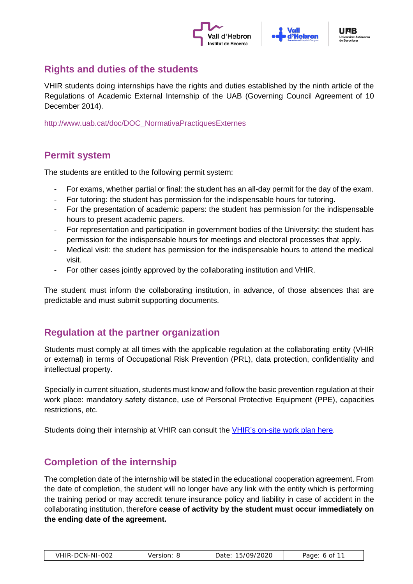



## **Rights and duties of the students**

VHIR students doing internships have the rights and duties established by the ninth article of the Regulations of Academic External Internship of the UAB (Governing Council Agreement of 10 December 2014).

[http://www.uab.cat/doc/DOC\\_NormativaPractiquesExternes](http://www.uab.cat/doc/DOC_NormativaPractiquesExternes)

## **Permit system**

The students are entitled to the following permit system:

- For exams, whether partial or final: the student has an all-day permit for the day of the exam.
- For tutoring: the student has permission for the indispensable hours for tutoring.
- For the presentation of academic papers: the student has permission for the indispensable hours to present academic papers.
- For representation and participation in government bodies of the University: the student has permission for the indispensable hours for meetings and electoral processes that apply.
- Medical visit: the student has permission for the indispensable hours to attend the medical visit.
- For other cases jointly approved by the collaborating institution and VHIR.

The student must inform the collaborating institution, in advance, of those absences that are predictable and must submit supporting documents.

## **Regulation at the partner organization**

Students must comply at all times with the applicable regulation at the collaborating entity (VHIR or external) in terms of Occupational Risk Prevention (PRL), data protection, confidentiality and intellectual property.

Specially in current situation, students must know and follow the basic prevention regulation at their work place: mandatory safety distance, use of Personal Protective Equipment (PPE), capacities restrictions, etc.

Students doing their internship at VHIR can consult the [VHIR's on-site work plan here.](http://master.vhir.org/wp-content/uploads/2020/09/Back-to-on-site-work-plan-at-VHIR.pdf)

## **Completion of the internship**

The completion date of the internship will be stated in the educational cooperation agreement. From the date of completion, the student will no longer have any link with the entity which is performing the training period or may accredit tenure insurance policy and liability in case of accident in the collaborating institution, therefore **cease of activity by the student must occur immediately on the ending date of the agreement.**

| VHIR-DCN-NI-002 | Version: | Date: 15/09/2020 | Page: 6 of 11 |
|-----------------|----------|------------------|---------------|
|-----------------|----------|------------------|---------------|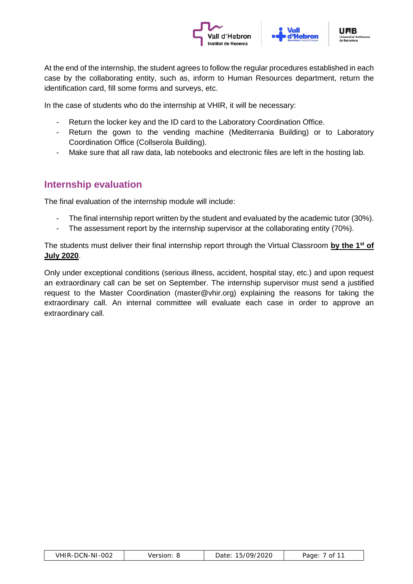



At the end of the internship, the student agrees to follow the regular procedures established in each case by the collaborating entity, such as, inform to Human Resources department, return the identification card, fill some forms and surveys, etc.

In the case of students who do the internship at VHIR, it will be necessary:

- Return the locker key and the ID card to the Laboratory Coordination Office.
- Return the gown to the vending machine (Mediterrania Building) or to Laboratory Coordination Office (Collserola Building).
- Make sure that all raw data, lab notebooks and electronic files are left in the hosting lab.

## **Internship evaluation**

The final evaluation of the internship module will include:

- The final internship report written by the student and evaluated by the academic tutor (30%).
- The assessment report by the internship supervisor at the collaborating entity (70%).

The students must deliver their final internship report through the Virtual Classroom **by the 1st of July 2020**.

Only under exceptional conditions (serious illness, accident, hospital stay, etc.) and upon request an extraordinary call can be set on September. The internship supervisor must send a justified request to the Master Coordination (master@vhir.org) explaining the reasons for taking the extraordinary call. An internal committee will evaluate each case in order to approve an extraordinary call.

| VHIR-DCN-NI-002 | Version: | 15/09/2020<br>Date: | . $\prime$ of $1^{\circ}$<br>Page: |
|-----------------|----------|---------------------|------------------------------------|
|                 |          |                     |                                    |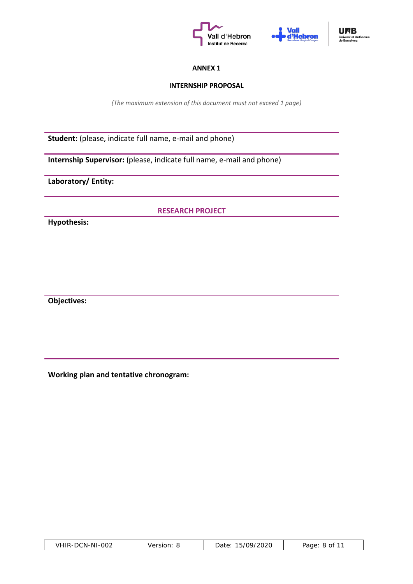





#### **ANNEX 1**

#### **INTERNSHIP PROPOSAL**

*(The maximum extension of this document must not exceed 1 page)*

**Student:** (please, indicate full name, e-mail and phone)

**Internship Supervisor:** (please, indicate full name, e-mail and phone)

**Laboratory/ Entity:**

**RESEARCH PROJECT**

**Hypothesis:**

**Objectives:**

**Working plan and tentative chronogram:**

| VHIR-DCN-NI-002<br>Version: | 15/09/2020<br>Date: . | Page: 8 of 11 |
|-----------------------------|-----------------------|---------------|
|-----------------------------|-----------------------|---------------|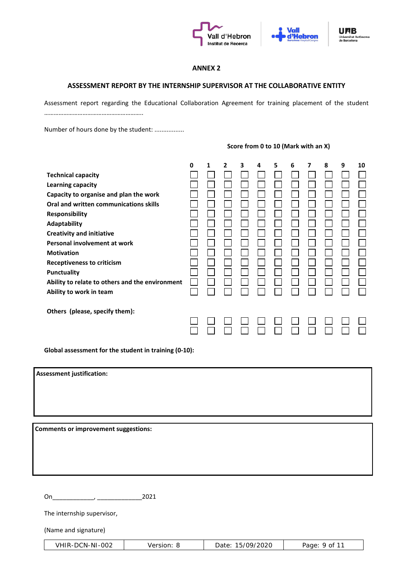





#### **ANNEX 2**

#### **ASSESSMENT REPORT BY THE INTERNSHIP SUPERVISOR AT THE COLLABORATIVE ENTITY**

Assessment report regarding the Educational Collaboration Agreement for training placement of the student ……………………………………………………..

Number of hours done by the student: .................

#### **Score from 0 to 10 (Mark with an X)**

| <b>Technical capacity</b><br><b>Learning capacity</b><br>Capacity to organise and plan the work<br>Oral and written communications skills<br><b>Responsibility</b><br>Adaptability<br><b>Creativity and initiative</b><br>Personal involvement at work<br><b>Motivation</b><br><b>Receptiveness to criticism</b><br><b>Punctuality</b><br>Ability to relate to others and the environment<br>Ability to work in team | 0 | 1 | $\mathbf{2}$ | 3 | 4 | 5 | 6 | 7 | 8 | 9 | 10 |
|----------------------------------------------------------------------------------------------------------------------------------------------------------------------------------------------------------------------------------------------------------------------------------------------------------------------------------------------------------------------------------------------------------------------|---|---|--------------|---|---|---|---|---|---|---|----|
|                                                                                                                                                                                                                                                                                                                                                                                                                      |   |   |              |   |   |   |   |   |   |   |    |
|                                                                                                                                                                                                                                                                                                                                                                                                                      |   |   |              |   |   |   |   |   |   |   |    |
|                                                                                                                                                                                                                                                                                                                                                                                                                      |   |   |              |   |   |   |   |   |   |   |    |
|                                                                                                                                                                                                                                                                                                                                                                                                                      |   |   |              |   |   |   |   |   |   |   |    |
|                                                                                                                                                                                                                                                                                                                                                                                                                      |   |   |              |   |   |   |   |   |   |   |    |
|                                                                                                                                                                                                                                                                                                                                                                                                                      |   |   |              |   |   |   |   |   |   |   |    |
|                                                                                                                                                                                                                                                                                                                                                                                                                      |   |   |              |   |   |   |   |   |   |   |    |
|                                                                                                                                                                                                                                                                                                                                                                                                                      |   |   |              |   |   |   |   |   |   |   |    |
|                                                                                                                                                                                                                                                                                                                                                                                                                      |   |   |              |   |   |   |   |   |   |   |    |
|                                                                                                                                                                                                                                                                                                                                                                                                                      |   |   |              |   |   |   |   |   |   |   |    |
|                                                                                                                                                                                                                                                                                                                                                                                                                      |   |   |              |   |   |   |   |   |   |   |    |
|                                                                                                                                                                                                                                                                                                                                                                                                                      |   |   |              |   |   |   |   |   |   |   |    |
|                                                                                                                                                                                                                                                                                                                                                                                                                      |   |   |              |   |   |   |   |   |   |   |    |
| Others (please, specify them):                                                                                                                                                                                                                                                                                                                                                                                       |   |   |              |   |   |   |   |   |   |   |    |
|                                                                                                                                                                                                                                                                                                                                                                                                                      |   |   |              |   |   |   |   |   |   |   |    |
|                                                                                                                                                                                                                                                                                                                                                                                                                      |   |   |              |   |   |   |   |   |   |   |    |

**Global assessment for the student in training (0-10):** 

**Assessment justification:**

**Comments or improvement suggestions:**

On\_\_\_\_\_\_\_\_\_\_\_\_, \_\_\_\_\_\_\_\_\_\_\_\_\_2021

The internship supervisor,

(Name and signature)

| VHIR-DCN-NI-002 | Version: | Date: 15/09/2020 | Page: 9 of 1 <sup>1</sup> |
|-----------------|----------|------------------|---------------------------|
|-----------------|----------|------------------|---------------------------|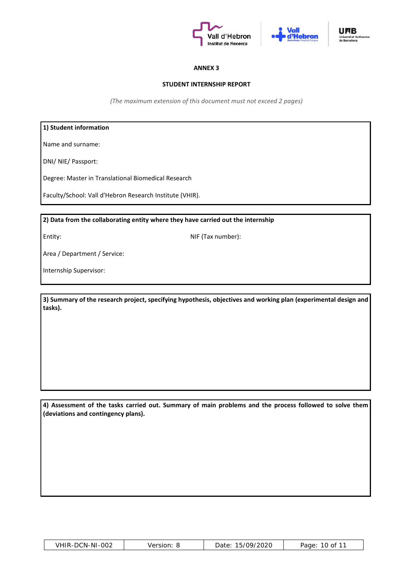





#### **ANNEX 3**

#### **STUDENT INTERNSHIP REPORT**

*(The maximum extension of this document must not exceed 2 pages)*

#### **1) Student information**

Name and surname:

DNI/ NIE/ Passport:

Degree: Master in Translational Biomedical Research

Faculty/School: Vall d'Hebron Research Institute (VHIR).

**2) Data from the collaborating entity where they have carried out the internship**

Entity: NIF (Tax number):

Area / Department / Service:

Internship Supervisor:

**3) Summary of the research project, specifying hypothesis, objectives and working plan (experimental design and tasks).**

**4) Assessment of the tasks carried out. Summary of main problems and the process followed to solve them (deviations and contingency plans).**

| VHIR-DCN-NI-002 | Version: | 15/09/2020<br>Date: | 10 of 11<br>Page: |
|-----------------|----------|---------------------|-------------------|
|-----------------|----------|---------------------|-------------------|